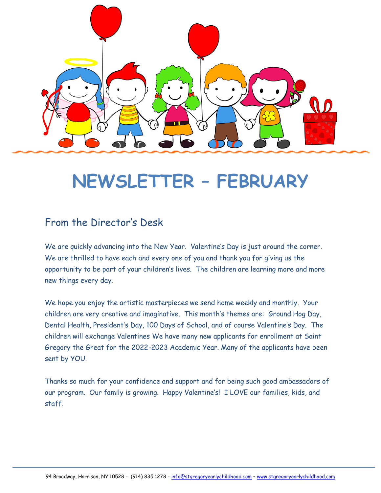

# **NEWSLETTER – FEBRUARY**

# From the Director's Desk

We are quickly advancing into the New Year. Valentine's Day is just around the corner. We are thrilled to have each and every one of you and thank you for giving us the opportunity to be part of your children's lives. The children are learning more and more new things every day.

We hope you enjoy the artistic masterpieces we send home weekly and monthly. Your children are very creative and imaginative. This month's themes are: Ground Hog Day, Dental Health, President's Day, 100 Days of School, and of course Valentine's Day. The children will exchange Valentines We have many new applicants for enrollment at Saint Gregory the Great for the 2022-2023 Academic Year. Many of the applicants have been sent by YOU.

Thanks so much for your confidence and support and for being such good ambassadors of our program. Our family is growing. Happy Valentine's! I LOVE our families, kids, and staff.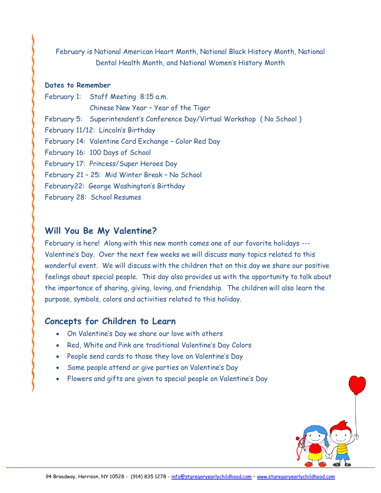February is National American Heart Month, National Black History Month, National Dental Health Month, and National Women's History Month

#### **Dates to Remember**

February 1: Staff Meeting 8:15 a.m. Chinese New Year – Year of the Tiger February 5: Superintendent's Conference Day/Virtual Workshop ( No School ) February 11/12: Lincoln's Birthday February 14: Valentine Card Exchange – Color Red Day February 16: 100 Days of School February 17: Princess/Super Heroes Day February 21 – 25: Mid Winter Break – No School February22: George Washington's Birthday February 28: School Resumes

#### **Will You Be My Valentine?**

February is here! Along with this new month comes one of our favorite holidays --- Valentine's Day. Over the next few weeks we will discuss many topics related to this wonderful event. We will discuss with the children that on this day we share our positive feelings about special people. This day also provides us with the opportunity to talk about the importance of sharing, giving, loving, and friendship. The children will also learn the purpose, symbols, colors and activities related to this holiday.

#### **Concepts for Children to Learn**

- On Valentine's Day we share our love with others
- Red, White and Pink are traditional Valentine's Day Colors
- People send cards to those they love on Valentine's Day
- Some people attend or give parties on Valentine's Day
- Flowers and gifts are given to special people on Valentine's Day

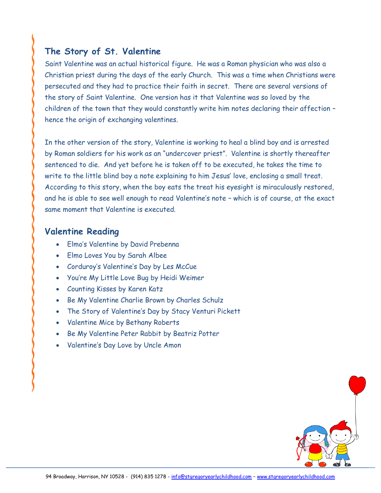# **The Story of St. Valentine**

Saint Valentine was an actual historical figure. He was a Roman physician who was also a Christian priest during the days of the early Church. This was a time when Christians were persecuted and they had to practice their faith in secret. There are several versions of the story of Saint Valentine. One version has it that Valentine was so loved by the children of the town that they would constantly write him notes declaring their affection – hence the origin of exchanging valentines.

In the other version of the story, Valentine is working to heal a blind boy and is arrested by Roman soldiers for his work as an "undercover priest". Valentine is shortly thereafter sentenced to die. And yet before he is taken off to be executed, he takes the time to write to the little blind boy a note explaining to him Jesus' love, enclosing a small treat. According to this story, when the boy eats the treat his eyesight is miraculously restored, and he is able to see well enough to read Valentine's note – which is of course, at the exact same moment that Valentine is executed.

#### **Valentine Reading**

- Elmo's Valentine by David Prebenna
- Elmo Loves You by Sarah Albee
- Corduroy's Valentine's Day by Les McCue
- You're My Little Love Bug by Heidi Weimer
- Counting Kisses by Karen Katz
- Be My Valentine Charlie Brown by Charles Schulz
- The Story of Valentine's Day by Stacy Venturi Pickett
- Valentine Mice by Bethany Roberts
- Be My Valentine Peter Rabbit by Beatriz Potter
- Valentine's Day Love by Uncle Amon

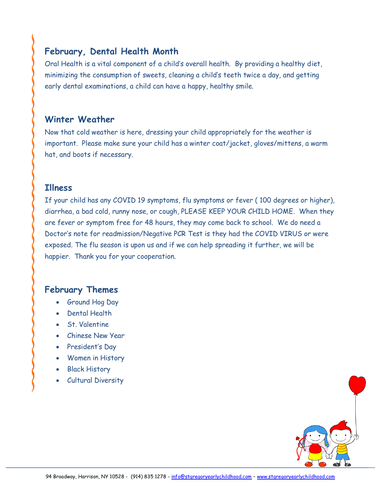# **February, Dental Health Month**

Oral Health is a vital component of a child's overall health. By providing a healthy diet, minimizing the consumption of sweets, cleaning a child's teeth twice a day, and getting early dental examinations, a child can have a happy, healthy smile.

#### **Winter Weather**

Now that cold weather is here, dressing your child appropriately for the weather is important. Please make sure your child has a winter coat/jacket, gloves/mittens, a warm hat, and boots if necessary.

#### **Illness**

If your child has any COVID 19 symptoms, flu symptoms or fever ( 100 degrees or higher), diarrhea, a bad cold, runny nose, or cough, PLEASE KEEP YOUR CHILD HOME. When they are fever or symptom free for 48 hours, they may come back to school. We do need a Doctor's note for readmission/Negative PCR Test is they had the COVID VIRUS or were exposed. The flu season is upon us and if we can help spreading it further, we will be happier. Thank you for your cooperation.

### **February Themes**

- Ground Hog Day
- Dental Health
- St. Valentine
- Chinese New Year
- President's Day
- Women in History
- Black History
- Cultural Diversity